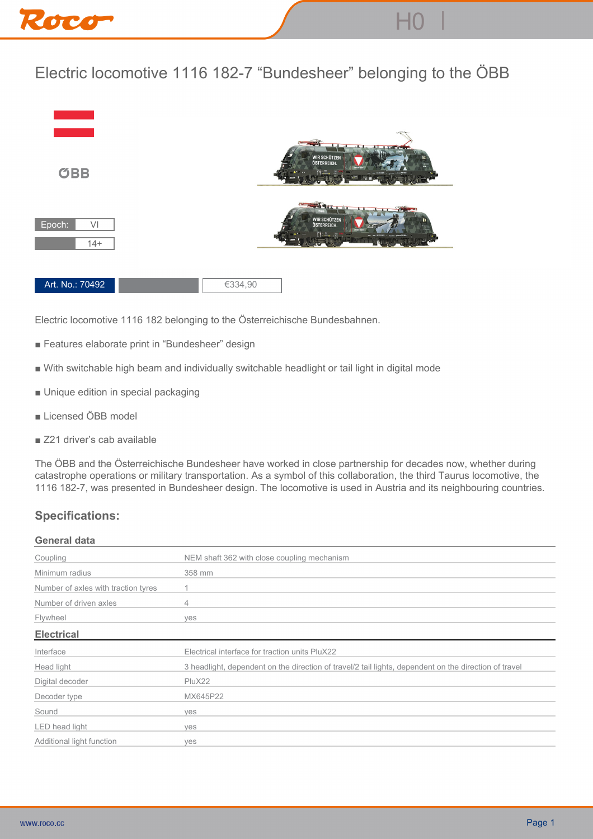

## **Electric locomotive 1116 182-7 "Bundesheer" belonging to the ÖBB**



**Electric locomotive 1116 182 belonging to the Österreichische Bundesbahnen.**

- **Features elaborate print in "Bundesheer" design**
- **With switchable high beam and individually switchable headlight or tail light in digital mode**
- **Unique edition in special packaging**
- **Licensed ÖBB model**
- **Z21 driver's cab available**

**The ÖBB and the Österreichische Bundesheer have worked in close partnership for decades now, whether during catastrophe operations or military transportation. As a symbol of this collaboration, the third Taurus locomotive, the 1116 182-7, was presented in Bundesheer design. The locomotive is used in Austria and its neighbouring countries.**

## **Specifications:**

## **General data**

| Coupling                            | NEM shaft 362 with close coupling mechanism                                                           |
|-------------------------------------|-------------------------------------------------------------------------------------------------------|
| Minimum radius                      | 358 mm                                                                                                |
| Number of axles with traction tyres |                                                                                                       |
| Number of driven axles              | 4                                                                                                     |
| Flywheel                            | ves                                                                                                   |
| <b>Electrical</b>                   |                                                                                                       |
| Interface                           | Electrical interface for traction units PluX22                                                        |
| Head light                          | 3 headlight, dependent on the direction of travel/2 tail lights, dependent on the direction of travel |
| Digital decoder                     | PluX22                                                                                                |
| Decoder type                        | MX645P22                                                                                              |
| Sound                               | ves                                                                                                   |
| LED head light                      | ves                                                                                                   |
| Additional light function           | ves                                                                                                   |